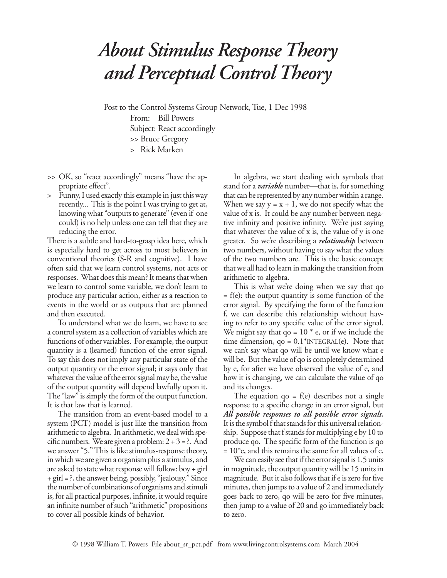## *About Stimulus Response Theory and Perceptual Control Theory*

Post to the Control Systems Group Network, Tue, 1 Dec 1998 From: Bill Powers Subject: React accordingly

- >> Bruce Gregory
- > Rick Marken
- >> OK, so "react accordingly" means "have the appropriate effect".
- > Funny, I used exactly this example in just this way recently... This is the point I was trying to get at, knowing what "outputs to generate" (even if one could) is no help unless one can tell that they are reducing the error.

There is a subtle and hard-to-grasp idea here, which is especially hard to get across to most believers in conventional theories (S-R and cognitive). I have often said that we learn control systems, not acts or responses. What does this mean? It means that when we learn to control some variable, we don't learn to produce any particular action, either as a reaction to events in the world or as outputs that are planned and then executed.

To understand what we do learn, we have to see a control system as a collection of variables which are functions of other variables. For example, the output quantity is a (learned) function of the error signal. To say this does not imply any particular state of the output quantity or the error signal; it says only that whatever the value of the error signal may be, the value of the output quantity will depend lawfully upon it. The "law" is simply the form of the output function. It is that law that is learned.

The transition from an event-based model to a system (PCT) model is just like the transition from arithmetic to algebra. In arithmetic, we deal with specific numbers. We are given a problem:  $2 + 3 = ?$ . And we answer "5." This is like stimulus-response theory, in which we are given a organism plus a stimulus, and are asked to state what response will follow: boy + girl + girl = ?, the answer being, possibly, "jealousy." Since the number of combinations of organisms and stimuli is, for all practical purposes, infinite, it would require an infinite number of such "arithmetic" propositions to cover all possible kinds of behavior.

In algebra, we start dealing with symbols that stand for a *variable* number—that is, for something that can be represented by any number within a range. When we say  $y = x + 1$ , we do not specify what the value of x is. It could be any number between negative infinity and positive infinity. We're just saying that whatever the value of x is, the value of y is one greater. So we're describing a *relationship* between two numbers, without having to say what the values of the two numbers are. This is the basic concept that we all had to learn in making the transition from arithmetic to algebra.

This is what we're doing when we say that qo  $= f(e)$ : the output quantity is some function of the error signal. By specifying the form of the function f, we can describe this relationship without having to refer to any specific value of the error signal. We might say that qo =  $10$   $*$  e, or if we include the time dimension,  $qo = 0.1$ <sup>\*</sup>INTEGRAL $(e)$ . Note that we can't say what qo will be until we know what e will be. But the value of qo is completely determined by e, for after we have observed the value of e, and how it is changing, we can calculate the value of qo and its changes.

The equation  $qo = f(e)$  describes not a single response to a specific change in an error signal, but *All possible responses to all possible error signals.*  It is the symbol f that stands for this universal relationship. Suppose that f stands for multiplying e by 10 to produce qo. The specific form of the function is qo  $= 10<sup>*</sup>$ e, and this remains the same for all values of e.

We can easily see that if the error signal is 1.5 units in magnitude, the output quantity will be 15 units in magnitude. But it also follows that if e is zero for five minutes, then jumps to a value of 2 and immediately goes back to zero, qo will be zero for five minutes, then jump to a value of 20 and go immediately back to zero.